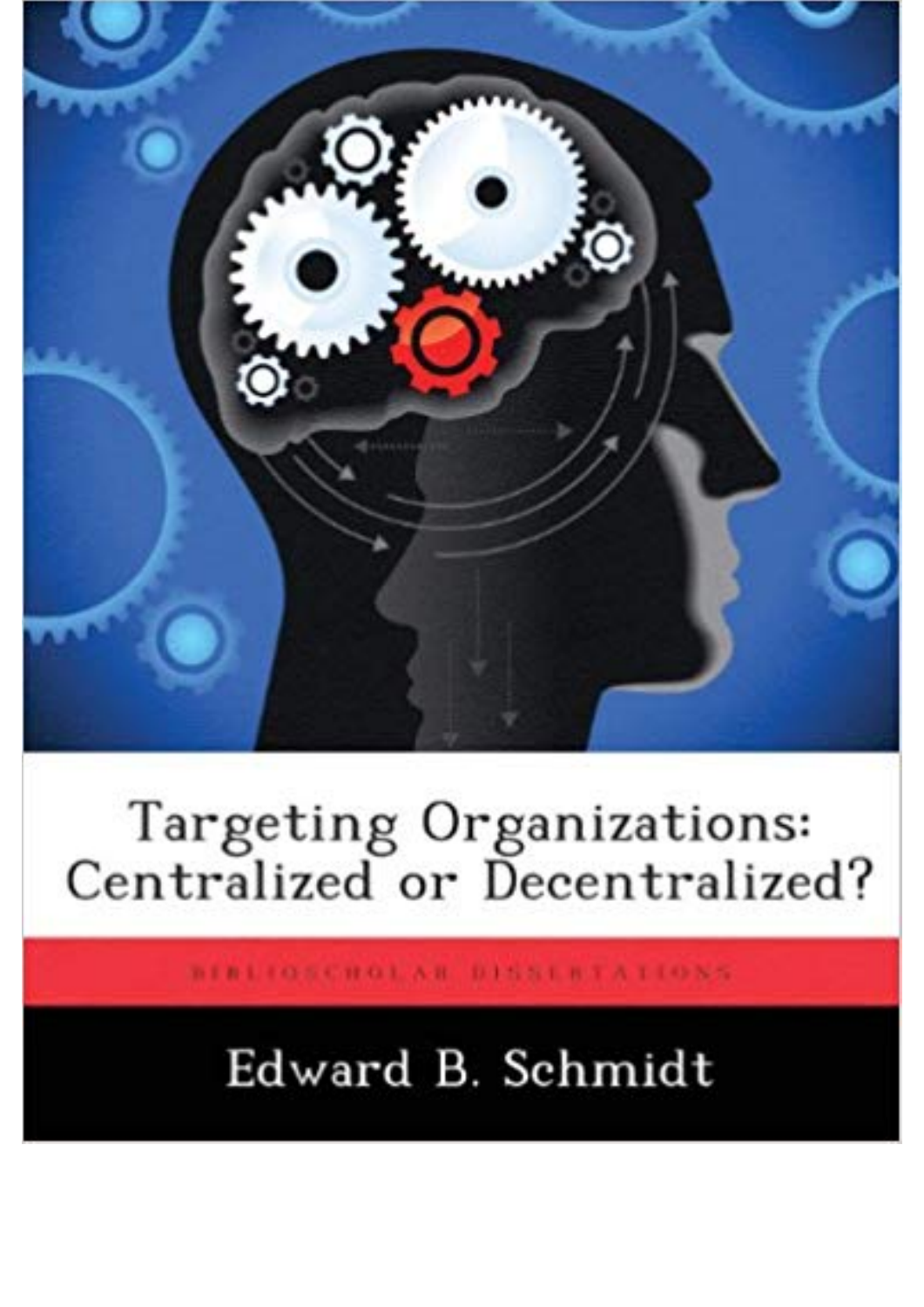

## Targeting Organizations:<br>Centralized or Decentralized?

BIBLIOSCHOLAR DISSERTATIONS

## Edward B. Schmidt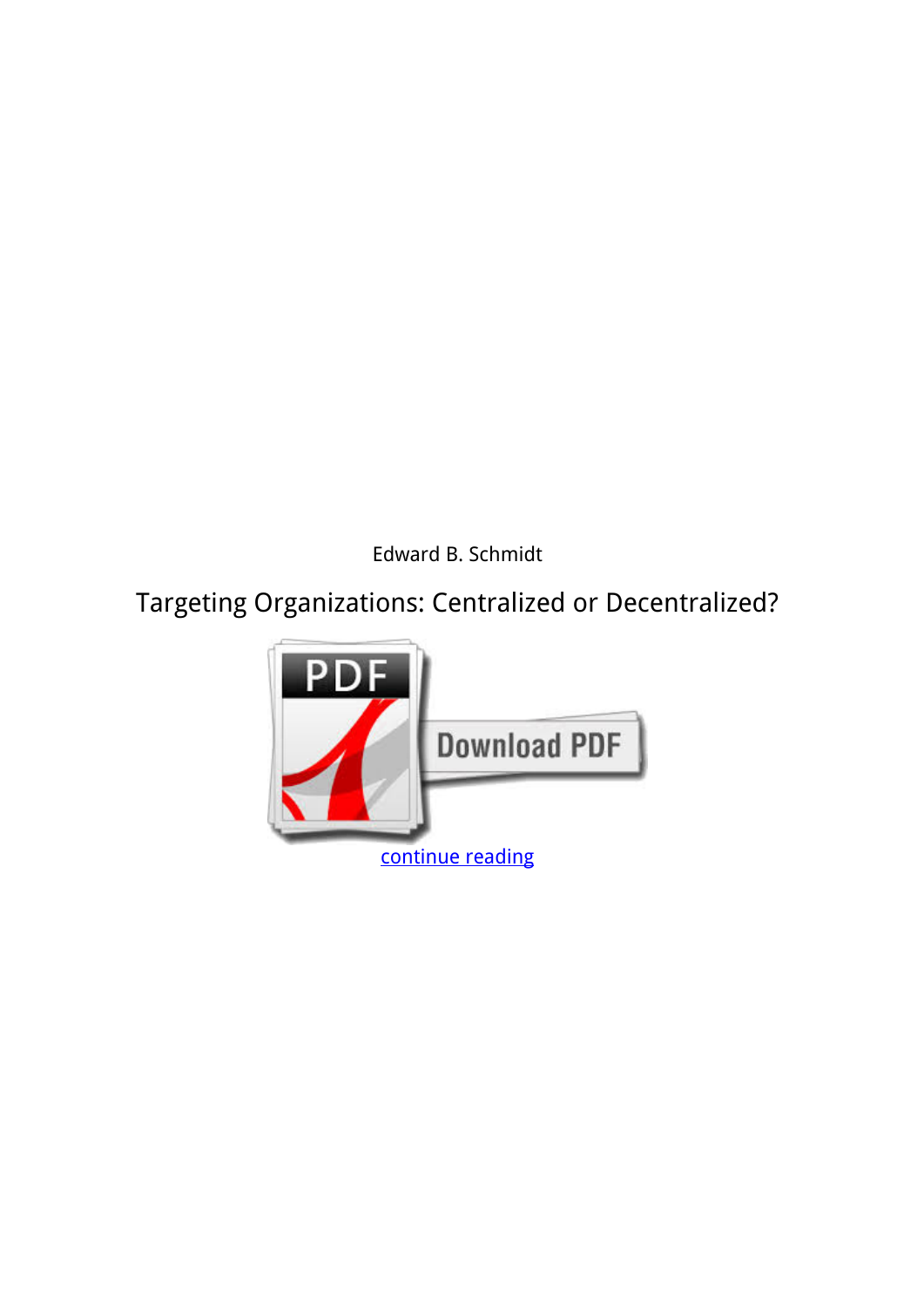*Edward B. Schmidt*

## **Targeting Organizations: Centralized or Decentralized?**

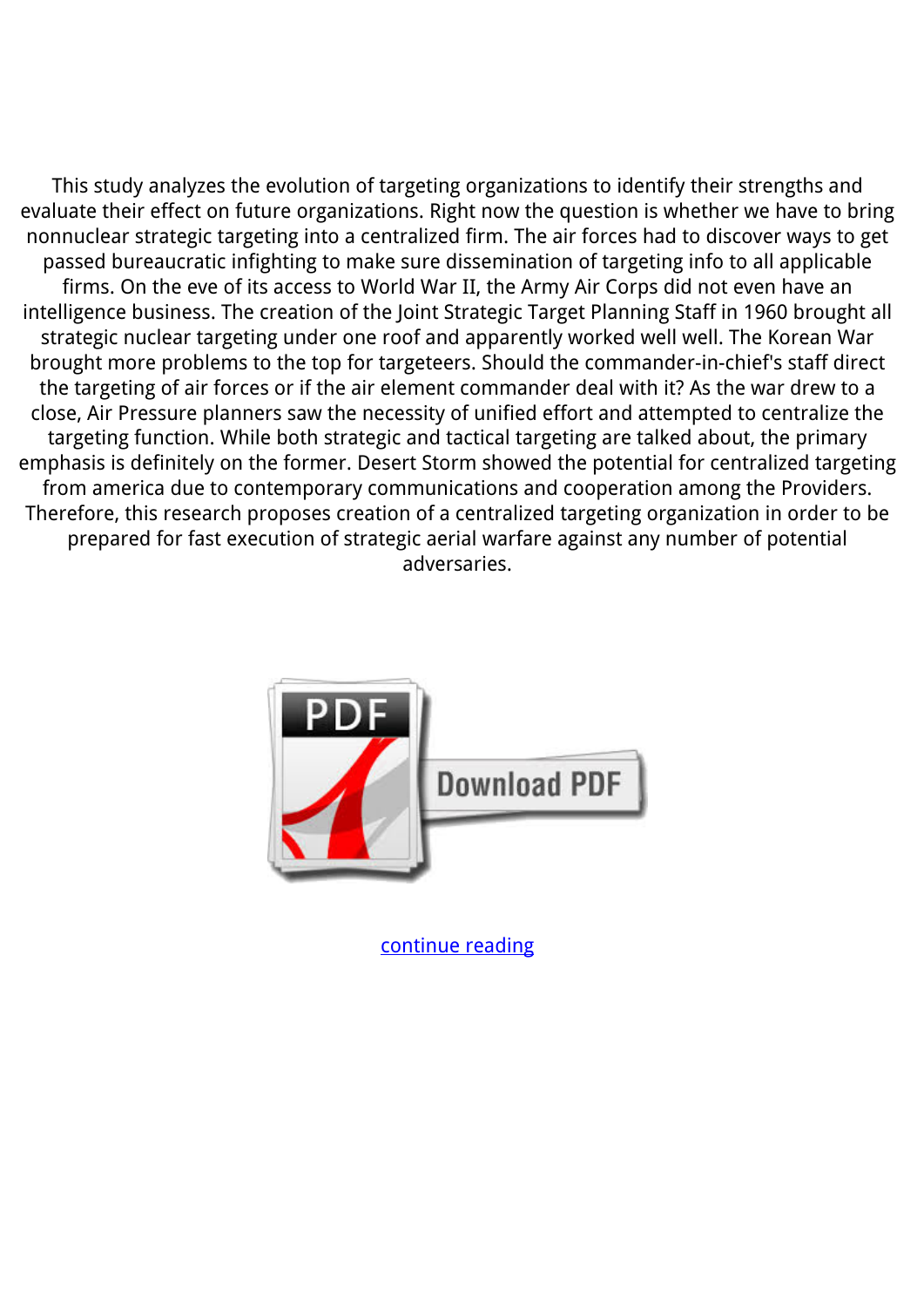This study analyzes the evolution of targeting organizations to identify their strengths and evaluate their effect on future organizations. Right now the question is whether we have to bring nonnuclear strategic targeting into a centralized firm. The air forces had to discover ways to get passed bureaucratic infighting to make sure dissemination of targeting info to all applicable firms. On the eve of its access to World War II, the Army Air Corps did not even have an intelligence business. The creation of the Joint Strategic Target Planning Staff in 1960 brought all strategic nuclear targeting under one roof and apparently worked well well. The Korean War brought more problems to the top for targeteers. Should the commander-in-chief's staff direct the targeting of air forces or if the air element commander deal with it? As the war drew to a close, Air Pressure planners saw the necessity of unified effort and attempted to centralize the targeting function. While both strategic and tactical targeting are talked about, the primary emphasis is definitely on the former. Desert Storm showed the potential for centralized targeting from america due to contemporary communications and cooperation among the Providers. Therefore, this research proposes creation of a centralized targeting organization in order to be prepared for fast execution of strategic aerial warfare against any number of potential adversaries.



[continue reading](http://bit.ly/2Tge8Fv)